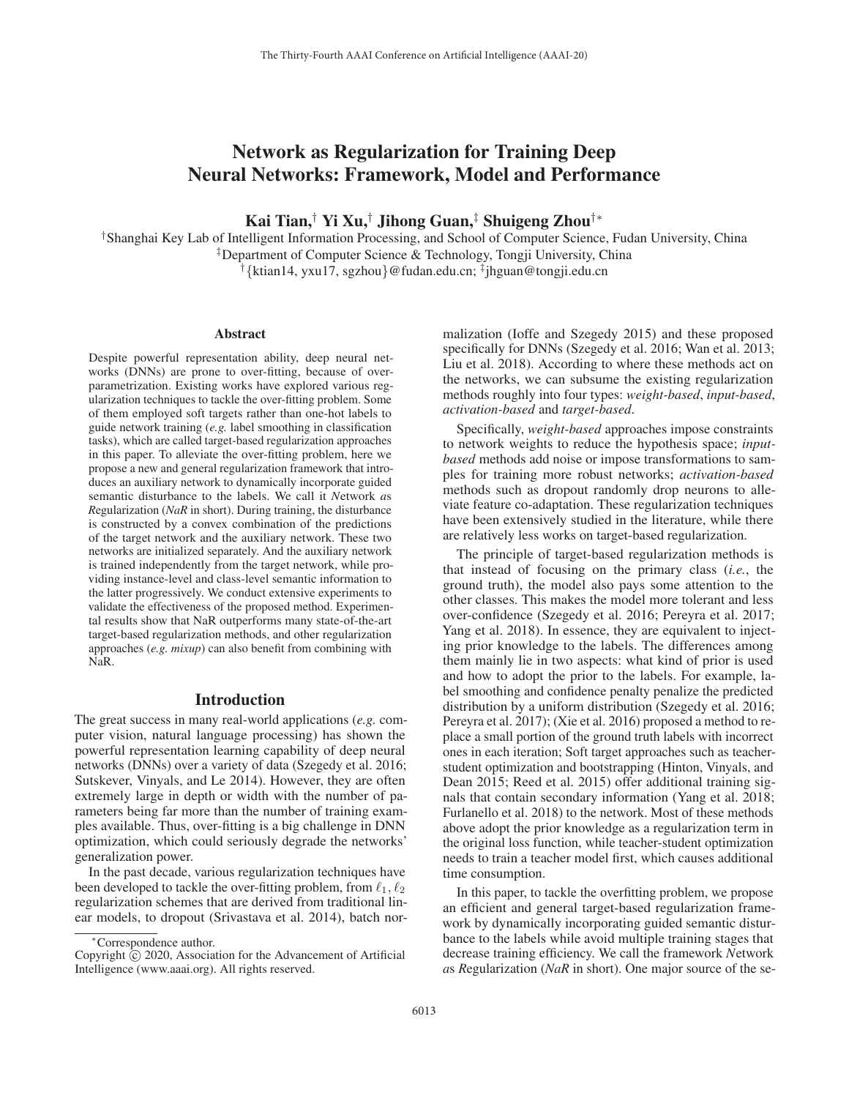# Network as Regularization for Training Deep Neural Networks: Framework, Model and Performance

Kai Tian,† Yi Xu,† Jihong Guan,‡ Shuigeng Zhou†∗

†Shanghai Key Lab of Intelligent Information Processing, and School of Computer Science, Fudan University, China ‡Department of Computer Science & Technology, Tongji University, China †{ktian14, yxu17, sgzhou}@fudan.edu.cn; ‡jhguan@tongji.edu.cn

#### Abstract

Despite powerful representation ability, deep neural networks (DNNs) are prone to over-fitting, because of overparametrization. Existing works have explored various regularization techniques to tackle the over-fitting problem. Some of them employed soft targets rather than one-hot labels to guide network training (*e.g.* label smoothing in classification tasks), which are called target-based regularization approaches in this paper. To alleviate the over-fitting problem, here we propose a new and general regularization framework that introduces an auxiliary network to dynamically incorporate guided semantic disturbance to the labels. We call it *N*etwork *a*s *R*egularization (*NaR* in short). During training, the disturbance is constructed by a convex combination of the predictions of the target network and the auxiliary network. These two networks are initialized separately. And the auxiliary network is trained independently from the target network, while providing instance-level and class-level semantic information to the latter progressively. We conduct extensive experiments to validate the effectiveness of the proposed method. Experimental results show that NaR outperforms many state-of-the-art target-based regularization methods, and other regularization approaches (*e.g. mixup*) can also benefit from combining with NaR.

#### Introduction

The great success in many real-world applications (*e.g.* computer vision, natural language processing) has shown the powerful representation learning capability of deep neural networks (DNNs) over a variety of data (Szegedy et al. 2016; Sutskever, Vinyals, and Le 2014). However, they are often extremely large in depth or width with the number of parameters being far more than the number of training examples available. Thus, over-fitting is a big challenge in DNN optimization, which could seriously degrade the networks' generalization power.

In the past decade, various regularization techniques have been developed to tackle the over-fitting problem, from  $\ell_1, \ell_2$ regularization schemes that are derived from traditional linear models, to dropout (Srivastava et al. 2014), batch nor-

malization (Ioffe and Szegedy 2015) and these proposed specifically for DNNs (Szegedy et al. 2016; Wan et al. 2013; Liu et al. 2018). According to where these methods act on the networks, we can subsume the existing regularization methods roughly into four types: *weight-based*, *input-based*, *activation-based* and *target-based*.

Specifically, *weight-based* approaches impose constraints to network weights to reduce the hypothesis space; *inputbased* methods add noise or impose transformations to samples for training more robust networks; *activation-based* methods such as dropout randomly drop neurons to alleviate feature co-adaptation. These regularization techniques have been extensively studied in the literature, while there are relatively less works on target-based regularization.

The principle of target-based regularization methods is that instead of focusing on the primary class (*i.e.*, the ground truth), the model also pays some attention to the other classes. This makes the model more tolerant and less over-confidence (Szegedy et al. 2016; Pereyra et al. 2017; Yang et al. 2018). In essence, they are equivalent to injecting prior knowledge to the labels. The differences among them mainly lie in two aspects: what kind of prior is used and how to adopt the prior to the labels. For example, label smoothing and confidence penalty penalize the predicted distribution by a uniform distribution (Szegedy et al. 2016; Pereyra et al. 2017); (Xie et al. 2016) proposed a method to replace a small portion of the ground truth labels with incorrect ones in each iteration; Soft target approaches such as teacherstudent optimization and bootstrapping (Hinton, Vinyals, and Dean 2015; Reed et al. 2015) offer additional training signals that contain secondary information (Yang et al. 2018; Furlanello et al. 2018) to the network. Most of these methods above adopt the prior knowledge as a regularization term in the original loss function, while teacher-student optimization needs to train a teacher model first, which causes additional time consumption.

In this paper, to tackle the overfitting problem, we propose an efficient and general target-based regularization framework by dynamically incorporating guided semantic disturbance to the labels while avoid multiple training stages that decrease training efficiency. We call the framework *N*etwork *a*s *R*egularization (*NaR* in short). One major source of the se-

<sup>∗</sup>Correspondence author.

Copyright  $\odot$  2020, Association for the Advancement of Artificial Intelligence (www.aaai.org). All rights reserved.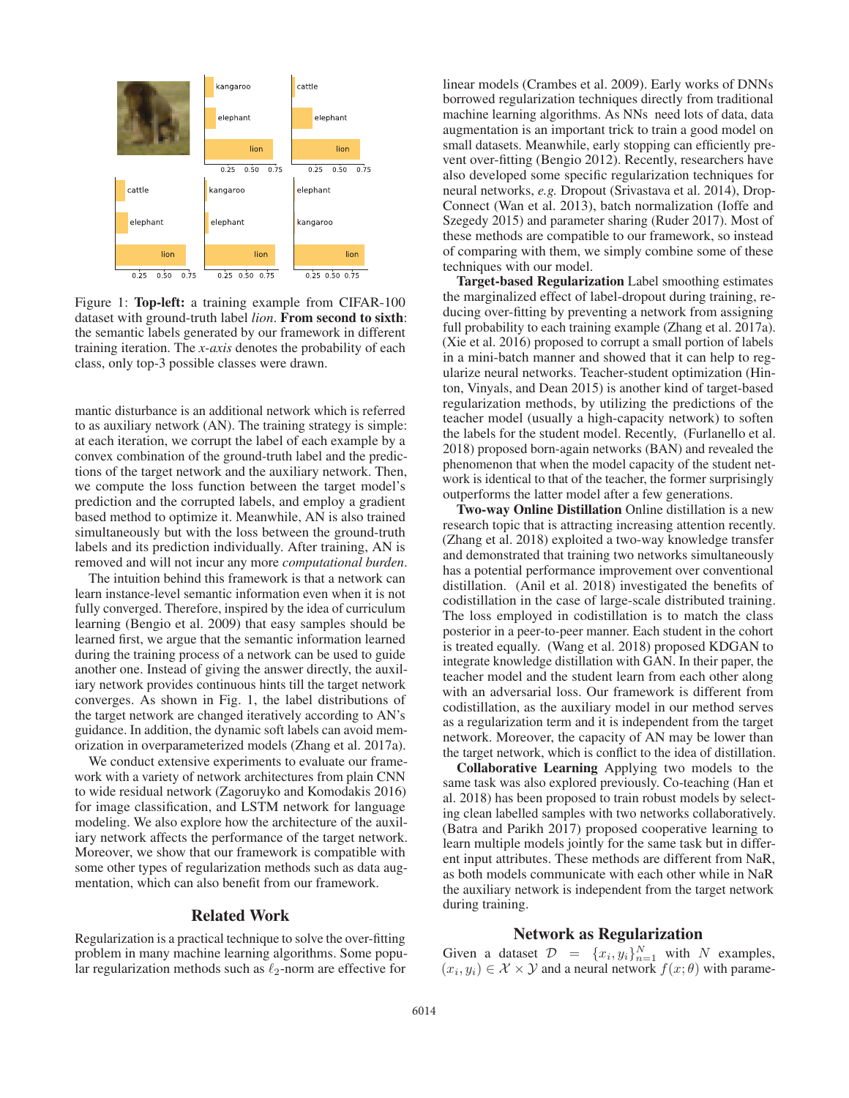

Figure 1: Top-left: a training example from CIFAR-100 dataset with ground-truth label *lion*. From second to sixth: the semantic labels generated by our framework in different training iteration. The *x-axis* denotes the probability of each class, only top-3 possible classes were drawn.

mantic disturbance is an additional network which is referred to as auxiliary network (AN). The training strategy is simple: at each iteration, we corrupt the label of each example by a convex combination of the ground-truth label and the predictions of the target network and the auxiliary network. Then, we compute the loss function between the target model's prediction and the corrupted labels, and employ a gradient based method to optimize it. Meanwhile, AN is also trained simultaneously but with the loss between the ground-truth labels and its prediction individually. After training, AN is removed and will not incur any more *computational burden*.

The intuition behind this framework is that a network can learn instance-level semantic information even when it is not fully converged. Therefore, inspired by the idea of curriculum learning (Bengio et al. 2009) that easy samples should be learned first, we argue that the semantic information learned during the training process of a network can be used to guide another one. Instead of giving the answer directly, the auxiliary network provides continuous hints till the target network converges. As shown in Fig. 1, the label distributions of the target network are changed iteratively according to AN's guidance. In addition, the dynamic soft labels can avoid memorization in overparameterized models (Zhang et al. 2017a).

We conduct extensive experiments to evaluate our framework with a variety of network architectures from plain CNN to wide residual network (Zagoruyko and Komodakis 2016) for image classification, and LSTM network for language modeling. We also explore how the architecture of the auxiliary network affects the performance of the target network. Moreover, we show that our framework is compatible with some other types of regularization methods such as data augmentation, which can also benefit from our framework.

### Related Work

Regularization is a practical technique to solve the over-fitting problem in many machine learning algorithms. Some popular regularization methods such as  $\ell_2$ -norm are effective for

linear models (Crambes et al. 2009). Early works of DNNs borrowed regularization techniques directly from traditional machine learning algorithms. As NNs need lots of data, data augmentation is an important trick to train a good model on small datasets. Meanwhile, early stopping can efficiently prevent over-fitting (Bengio 2012). Recently, researchers have also developed some specific regularization techniques for neural networks, *e.g.* Dropout (Srivastava et al. 2014), Drop-Connect (Wan et al. 2013), batch normalization (Ioffe and Szegedy 2015) and parameter sharing (Ruder 2017). Most of these methods are compatible to our framework, so instead of comparing with them, we simply combine some of these techniques with our model.

Target-based Regularization Label smoothing estimates the marginalized effect of label-dropout during training, reducing over-fitting by preventing a network from assigning full probability to each training example (Zhang et al. 2017a). (Xie et al. 2016) proposed to corrupt a small portion of labels in a mini-batch manner and showed that it can help to regularize neural networks. Teacher-student optimization (Hinton, Vinyals, and Dean 2015) is another kind of target-based regularization methods, by utilizing the predictions of the teacher model (usually a high-capacity network) to soften the labels for the student model. Recently, (Furlanello et al. 2018) proposed born-again networks (BAN) and revealed the phenomenon that when the model capacity of the student network is identical to that of the teacher, the former surprisingly outperforms the latter model after a few generations.

Two-way Online Distillation Online distillation is a new research topic that is attracting increasing attention recently. (Zhang et al. 2018) exploited a two-way knowledge transfer and demonstrated that training two networks simultaneously has a potential performance improvement over conventional distillation. (Anil et al. 2018) investigated the benefits of codistillation in the case of large-scale distributed training. The loss employed in codistillation is to match the class posterior in a peer-to-peer manner. Each student in the cohort is treated equally. (Wang et al. 2018) proposed KDGAN to integrate knowledge distillation with GAN. In their paper, the teacher model and the student learn from each other along with an adversarial loss. Our framework is different from codistillation, as the auxiliary model in our method serves as a regularization term and it is independent from the target network. Moreover, the capacity of AN may be lower than the target network, which is conflict to the idea of distillation.

Collaborative Learning Applying two models to the same task was also explored previously. Co-teaching (Han et al. 2018) has been proposed to train robust models by selecting clean labelled samples with two networks collaboratively. (Batra and Parikh 2017) proposed cooperative learning to learn multiple models jointly for the same task but in different input attributes. These methods are different from NaR, as both models communicate with each other while in NaR the auxiliary network is independent from the target network during training.

## Network as Regularization

Given a dataset  $\mathcal{D} = \{x_i, y_i\}_{i=1}^N$  with N examples,<br>  $(x_i, y_i) \in \mathcal{X} \times \mathcal{Y}$  and a neural network  $f(x; \theta)$  with parame- $(x_i, y_i) \in \mathcal{X} \times \mathcal{Y}$  and a neural network  $f(x; \theta)$  with parame-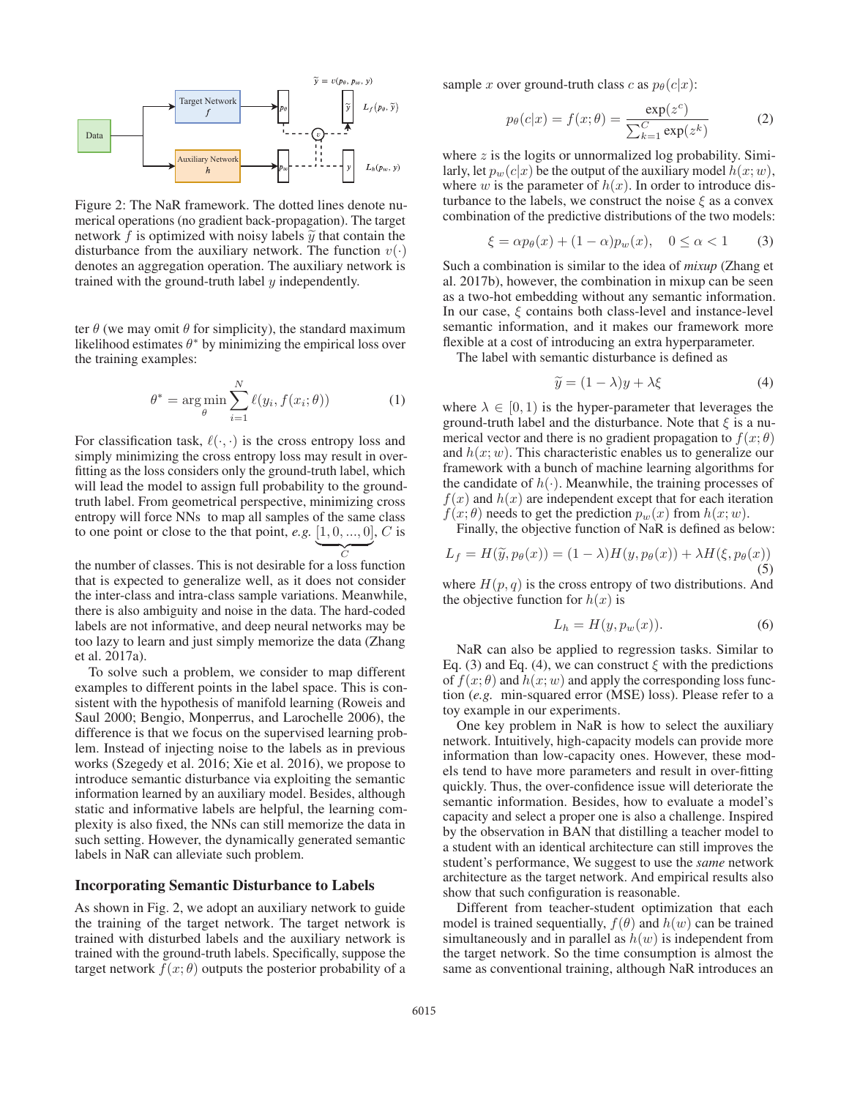

Figure 2: The NaR framework. The dotted lines denote numerical operations (no gradient back-propagation). The target network f is optimized with noisy labels  $\tilde{y}$  that contain the disturbance from the auxiliary network. The function  $v(\cdot)$ denotes an aggregation operation. The auxiliary network is trained with the ground-truth label  $y$  independently.

ter  $\theta$  (we may omit  $\theta$  for simplicity), the standard maximum likelihood estimates  $\theta^*$  by minimizing the empirical loss over the training examples:

$$
\theta^* = \underset{\theta}{\arg\min} \sum_{i=1}^{N} \ell(y_i, f(x_i; \theta))
$$
 (1)

For classification task,  $\ell(\cdot, \cdot)$  is the cross entropy loss and simply minimizing the cross entropy loss may result in oversimply minimizing the cross entropy loss may result in overfitting as the loss considers only the ground-truth label, which will lead the model to assign full probability to the groundtruth label. From geometrical perspective, minimizing cross entropy will force NNs to map all samples of the same class to one point or close to the that point, *e.g.*  $\underbrace{[1,0,...,0]}_{C}$ , *C* is

the number of classes. This is not desirable for a loss function that is expected to generalize well, as it does not consider the inter-class and intra-class sample variations. Meanwhile, there is also ambiguity and noise in the data. The hard-coded labels are not informative, and deep neural networks may be too lazy to learn and just simply memorize the data (Zhang et al. 2017a).

To solve such a problem, we consider to map different examples to different points in the label space. This is consistent with the hypothesis of manifold learning (Roweis and Saul 2000; Bengio, Monperrus, and Larochelle 2006), the difference is that we focus on the supervised learning problem. Instead of injecting noise to the labels as in previous works (Szegedy et al. 2016; Xie et al. 2016), we propose to introduce semantic disturbance via exploiting the semantic information learned by an auxiliary model. Besides, although static and informative labels are helpful, the learning complexity is also fixed, the NNs can still memorize the data in such setting. However, the dynamically generated semantic labels in NaR can alleviate such problem.

## Incorporating Semantic Disturbance to Labels

As shown in Fig. 2, we adopt an auxiliary network to guide the training of the target network. The target network is trained with disturbed labels and the auxiliary network is trained with the ground-truth labels. Specifically, suppose the target network  $f(x; \theta)$  outputs the posterior probability of a

sample x over ground-truth class c as  $p_{\theta}(c|x)$ :

$$
p_{\theta}(c|x) = f(x; \theta) = \frac{\exp(z^c)}{\sum_{k=1}^{C} \exp(z^k)}
$$
(2)

where  $z$  is the logits or unnormalized log probability. Similarly, let  $p_w(c|x)$  be the output of the auxiliary model  $h(x; w)$ , where w is the parameter of  $h(x)$ . In order to introduce disturbance to the labels, we construct the noise  $\xi$  as a convex combination of the predictive distributions of the two models:

$$
\xi = \alpha p_{\theta}(x) + (1 - \alpha)p_w(x), \quad 0 \le \alpha < 1 \tag{3}
$$

Such a combination is similar to the idea of *mixup* (Zhang et al. 2017b), however, the combination in mixup can be seen as a two-hot embedding without any semantic information. In our case,  $\xi$  contains both class-level and instance-level semantic information, and it makes our framework more flexible at a cost of introducing an extra hyperparameter.

The label with semantic disturbance is defined as

$$
\widetilde{y} = (1 - \lambda)y + \lambda \xi \tag{4}
$$

where  $\lambda \in [0, 1)$  is the hyper-parameter that leverages the ground-truth label and the disturbance. Note that  $\xi$  is a numerical vector and there is no gradient propagation to  $f(x; \theta)$ and  $h(x; w)$ . This characteristic enables us to generalize our framework with a bunch of machine learning algorithms for the candidate of  $h(\cdot)$ . Meanwhile, the training processes of  $f(x)$  and  $h(x)$  are independent except that for each iteration  $f(x; \theta)$  needs to get the prediction  $p_w(x)$  from  $h(x; w)$ .

Finally, the objective function of NaR is defined as below:

$$
L_f = H(\widetilde{y}, p_\theta(x)) = (1 - \lambda)H(y, p_\theta(x)) + \lambda H(\xi, p_\theta(x))
$$
\n(5)

where  $H(p, q)$  is the cross entropy of two distributions. And the objective function for  $h(x)$  is

$$
L_h = H(y, p_w(x)).
$$
 (6)

NaR can also be applied to regression tasks. Similar to Eq. (3) and Eq. (4), we can construct  $\xi$  with the predictions of  $f(x; \theta)$  and  $h(x; w)$  and apply the corresponding loss function (*e.g.* min-squared error (MSE) loss). Please refer to a toy example in our experiments.

One key problem in NaR is how to select the auxiliary network. Intuitively, high-capacity models can provide more information than low-capacity ones. However, these models tend to have more parameters and result in over-fitting quickly. Thus, the over-confidence issue will deteriorate the semantic information. Besides, how to evaluate a model's capacity and select a proper one is also a challenge. Inspired by the observation in BAN that distilling a teacher model to a student with an identical architecture can still improves the student's performance, We suggest to use the *same* network architecture as the target network. And empirical results also show that such configuration is reasonable.

Different from teacher-student optimization that each model is trained sequentially,  $f(\theta)$  and  $h(w)$  can be trained simultaneously and in parallel as  $h(w)$  is independent from the target network. So the time consumption is almost the same as conventional training, although NaR introduces an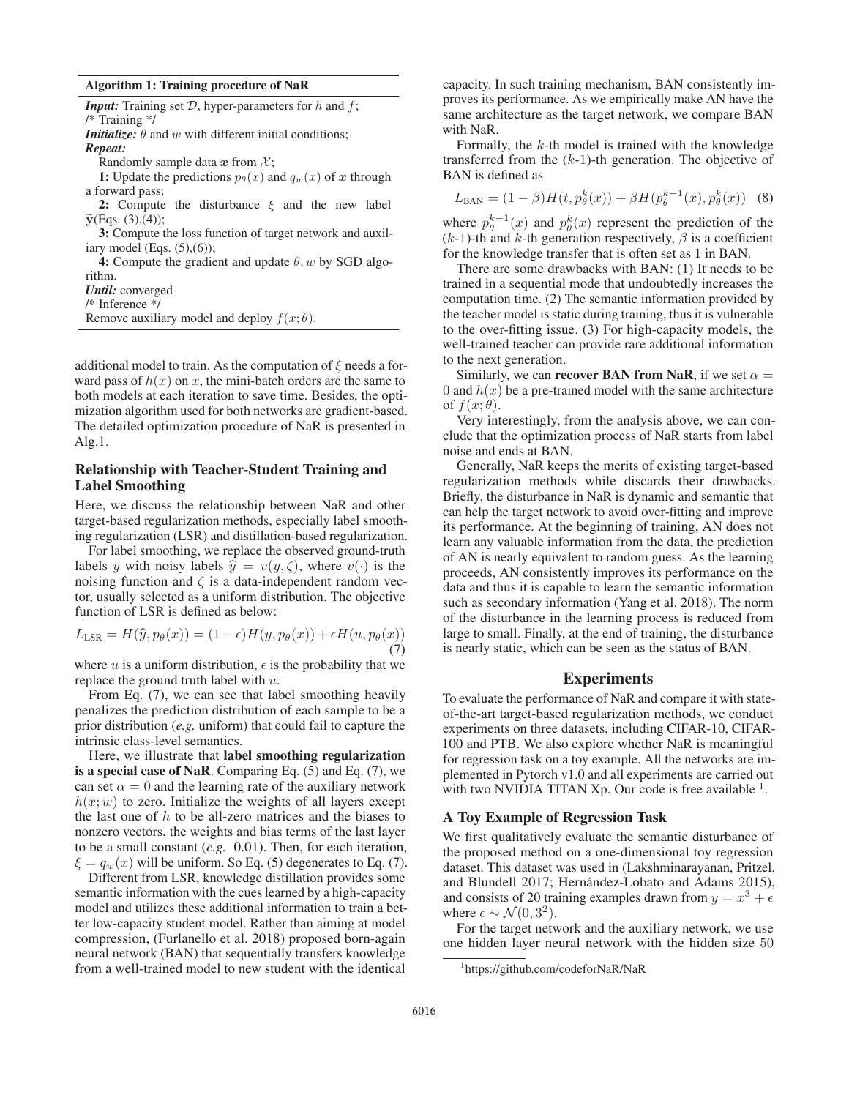| Algorithm 1: Training procedure of NaR |  |  |  |
|----------------------------------------|--|--|--|
|----------------------------------------|--|--|--|

| <b>Input:</b> Training set $D$ , hyper-parameters for h and f;       |
|----------------------------------------------------------------------|
| $/*$ Training $*/$                                                   |
| <b>Initialize:</b> $\theta$ and w with different initial conditions; |
| Repeat:                                                              |
| Randomly sample data x from $\mathcal{X}$ ;                          |
| 1: Update the predictions $p_{\theta}(x)$ and $q_w(x)$ of x through  |
| a forward pass;                                                      |
| 2: Compute the disturbance $\xi$ and the new label                   |
| $\widetilde{y}(Eqs. (3),(4));$                                       |
| 3: Compute the loss function of target network and auxil-            |
| iary model (Eqs. $(5)$ , $(6)$ );                                    |
| 4: Compute the gradient and update $\theta$ , w by SGD algo-         |
| rithm.                                                               |
| <b><i>Until:</i></b> converged                                       |
| $/*$ Inference $*$ /                                                 |
| Remove auxiliary model and deploy $f(x; \theta)$ .                   |
|                                                                      |

additional model to train. As the computation of  $\xi$  needs a forward pass of  $h(x)$  on x, the mini-batch orders are the same to both models at each iteration to save time. Besides, the optimization algorithm used for both networks are gradient-based. The detailed optimization procedure of NaR is presented in Alg.1.

# Relationship with Teacher-Student Training and Label Smoothing

Here, we discuss the relationship between NaR and other target-based regularization methods, especially label smoothing regularization (LSR) and distillation-based regularization.

For label smoothing, we replace the observed ground-truth labels y with noisy labels  $\hat{y} = v(y, \zeta)$ , where  $v(\cdot)$  is the noising function and  $\zeta$  is a data-independent random vector, usually selected as a uniform distribution. The objective function of LSR is defined as below:

$$
L_{\text{LSR}} = H(\widehat{y}, p_{\theta}(x)) = (1 - \epsilon)H(y, p_{\theta}(x)) + \epsilon H(u, p_{\theta}(x))
$$
\n(7)

where u is a uniform distribution,  $\epsilon$  is the probability that we replace the ground truth label with u.

From Eq. (7), we can see that label smoothing heavily penalizes the prediction distribution of each sample to be a prior distribution (*e.g.* uniform) that could fail to capture the intrinsic class-level semantics.

Here, we illustrate that label smoothing regularization is a special case of NaR. Comparing Eq. (5) and Eq. (7), we can set  $\alpha = 0$  and the learning rate of the auxiliary network  $h(x; w)$  to zero. Initialize the weights of all layers except the last one of  $h$  to be all-zero matrices and the biases to nonzero vectors, the weights and bias terms of the last layer to be a small constant (*e.g.* 0.01). Then, for each iteration,  $\xi = q_w(x)$  will be uniform. So Eq. (5) degenerates to Eq. (7).

Different from LSR, knowledge distillation provides some semantic information with the cues learned by a high-capacity model and utilizes these additional information to train a better low-capacity student model. Rather than aiming at model compression, (Furlanello et al. 2018) proposed born-again neural network (BAN) that sequentially transfers knowledge from a well-trained model to new student with the identical

capacity. In such training mechanism, BAN consistently improves its performance. As we empirically make AN have the same architecture as the target network, we compare BAN with NaR.

Formally, the  $k$ -th model is trained with the knowledge transferred from the  $(k-1)$ -th generation. The objective of BAN is defined as

$$
L_{\text{BAN}} = (1 - \beta)H(t, p_{\theta}^{k}(x)) + \beta H(p_{\theta}^{k-1}(x), p_{\theta}^{k}(x))
$$
 (8)

where  $p_{\theta}^{k-1}(x)$  and  $p_{\theta}^{k}(x)$  represent the prediction of the  $(k-1)$ -th and k-th generation respectively  $\beta$  is a coefficient  $(k-1)$ -th and k-th generation respectively,  $\beta$  is a coefficient for the knowledge transfer that is often set as 1 in BAN.

There are some drawbacks with BAN: (1) It needs to be trained in a sequential mode that undoubtedly increases the computation time. (2) The semantic information provided by the teacher model is static during training, thus it is vulnerable to the over-fitting issue. (3) For high-capacity models, the well-trained teacher can provide rare additional information to the next generation.

Similarly, we can **recover BAN from NaR**, if we set  $\alpha$  = 0 and  $h(x)$  be a pre-trained model with the same architecture of  $f(x; \theta)$ .

Very interestingly, from the analysis above, we can conclude that the optimization process of NaR starts from label noise and ends at BAN.

Generally, NaR keeps the merits of existing target-based regularization methods while discards their drawbacks. Briefly, the disturbance in NaR is dynamic and semantic that can help the target network to avoid over-fitting and improve its performance. At the beginning of training, AN does not learn any valuable information from the data, the prediction of AN is nearly equivalent to random guess. As the learning proceeds, AN consistently improves its performance on the data and thus it is capable to learn the semantic information such as secondary information (Yang et al. 2018). The norm of the disturbance in the learning process is reduced from large to small. Finally, at the end of training, the disturbance is nearly static, which can be seen as the status of BAN.

## Experiments

To evaluate the performance of NaR and compare it with stateof-the-art target-based regularization methods, we conduct experiments on three datasets, including CIFAR-10, CIFAR-100 and PTB. We also explore whether NaR is meaningful for regression task on a toy example. All the networks are implemented in Pytorch v1.0 and all experiments are carried out with two NVIDIA TITAN Xp. Our code is free available  $\frac{1}{1}$ .

#### A Toy Example of Regression Task

We first qualitatively evaluate the semantic disturbance of the proposed method on a one-dimensional toy regression dataset. This dataset was used in (Lakshminarayanan, Pritzel, and Blundell 2017; Hernández-Lobato and Adams 2015), and consists of 20 training examples drawn from  $y = x^3 + \epsilon$ where  $\epsilon \sim \mathcal{N}(0, 3^2)$ .

For the target network and the auxiliary network, we use one hidden layer neural network with the hidden size 50

<sup>1</sup> https://github.com/codeforNaR/NaR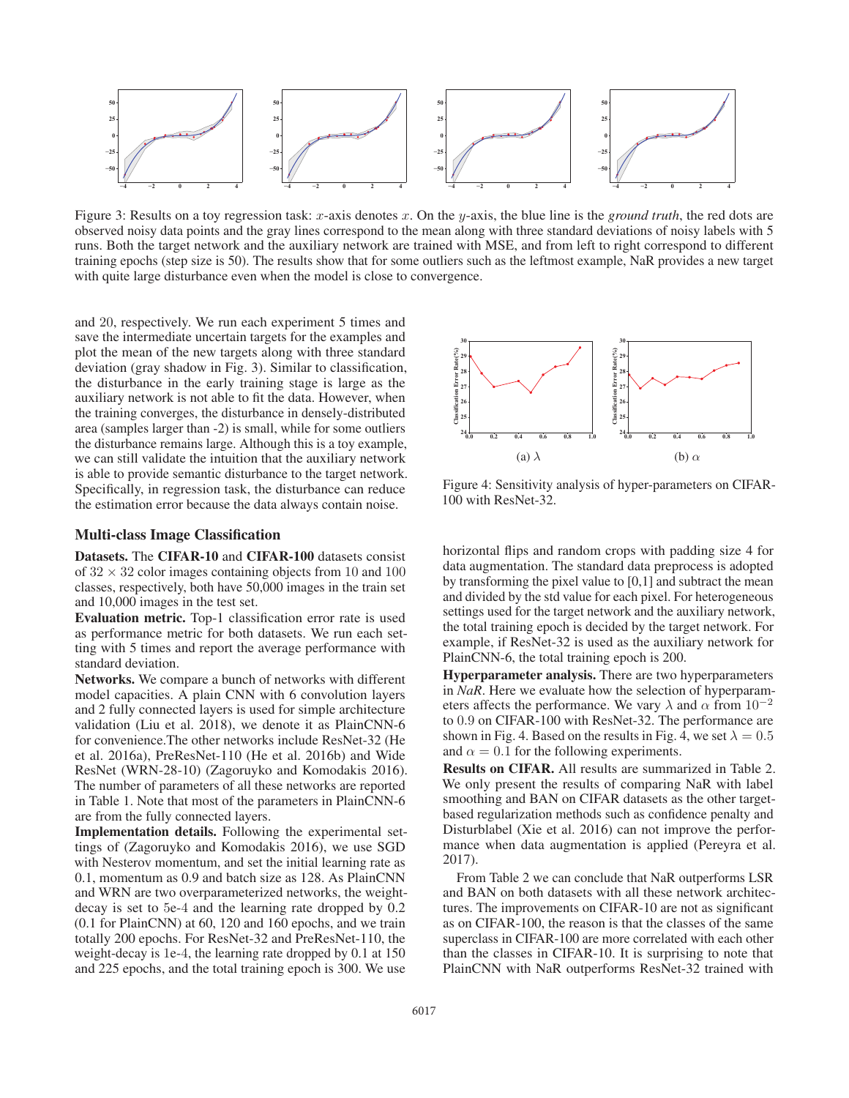

Figure 3: Results on a toy regression task: x-axis denotes x. On the y-axis, the blue line is the *ground truth*, the red dots are observed noisy data points and the gray lines correspond to the mean along with three standard deviations of noisy labels with 5 runs. Both the target network and the auxiliary network are trained with MSE, and from left to right correspond to different training epochs (step size is 50). The results show that for some outliers such as the leftmost example, NaR provides a new target with quite large disturbance even when the model is close to convergence.

and 20, respectively. We run each experiment 5 times and save the intermediate uncertain targets for the examples and plot the mean of the new targets along with three standard deviation (gray shadow in Fig. 3). Similar to classification, the disturbance in the early training stage is large as the auxiliary network is not able to fit the data. However, when the training converges, the disturbance in densely-distributed area (samples larger than -2) is small, while for some outliers the disturbance remains large. Although this is a toy example, we can still validate the intuition that the auxiliary network is able to provide semantic disturbance to the target network. Specifically, in regression task, the disturbance can reduce the estimation error because the data always contain noise.

## Multi-class Image Classification

Datasets. The CIFAR-10 and CIFAR-100 datasets consist of  $32 \times 32$  color images containing objects from 10 and 100 classes, respectively, both have 50,000 images in the train set and 10,000 images in the test set.

Evaluation metric. Top-1 classification error rate is used as performance metric for both datasets. We run each setting with 5 times and report the average performance with standard deviation.

Networks. We compare a bunch of networks with different model capacities. A plain CNN with 6 convolution layers and 2 fully connected layers is used for simple architecture validation (Liu et al. 2018), we denote it as PlainCNN-6 for convenience.The other networks include ResNet-32 (He et al. 2016a), PreResNet-110 (He et al. 2016b) and Wide ResNet (WRN-28-10) (Zagoruyko and Komodakis 2016). The number of parameters of all these networks are reported in Table 1. Note that most of the parameters in PlainCNN-6 are from the fully connected layers.

Implementation details. Following the experimental settings of (Zagoruyko and Komodakis 2016), we use SGD with Nesterov momentum, and set the initial learning rate as 0.1, momentum as 0.9 and batch size as 128. As PlainCNN and WRN are two overparameterized networks, the weightdecay is set to 5e-4 and the learning rate dropped by 0.2 (0.1 for PlainCNN) at 60, 120 and 160 epochs, and we train totally 200 epochs. For ResNet-32 and PreResNet-110, the weight-decay is 1e-4, the learning rate dropped by 0.1 at 150 and 225 epochs, and the total training epoch is 300. We use



Figure 4: Sensitivity analysis of hyper-parameters on CIFAR-100 with ResNet-32.

horizontal flips and random crops with padding size 4 for data augmentation. The standard data preprocess is adopted by transforming the pixel value to [0,1] and subtract the mean and divided by the std value for each pixel. For heterogeneous settings used for the target network and the auxiliary network, the total training epoch is decided by the target network. For example, if ResNet-32 is used as the auxiliary network for PlainCNN-6, the total training epoch is 200.

Hyperparameter analysis. There are two hyperparameters in *NaR*. Here we evaluate how the selection of hyperparameters affects the performance. We vary  $\lambda$  and  $\alpha$  from  $10^{-2}$ to 0.9 on CIFAR-100 with ResNet-32. The performance are shown in Fig. 4. Based on the results in Fig. 4, we set  $\lambda = 0.5$ and  $\alpha = 0.1$  for the following experiments.

Results on CIFAR. All results are summarized in Table 2. We only present the results of comparing NaR with label smoothing and BAN on CIFAR datasets as the other targetbased regularization methods such as confidence penalty and Disturblabel (Xie et al. 2016) can not improve the performance when data augmentation is applied (Pereyra et al. 2017).

From Table 2 we can conclude that NaR outperforms LSR and BAN on both datasets with all these network architectures. The improvements on CIFAR-10 are not as significant as on CIFAR-100, the reason is that the classes of the same superclass in CIFAR-100 are more correlated with each other than the classes in CIFAR-10. It is surprising to note that PlainCNN with NaR outperforms ResNet-32 trained with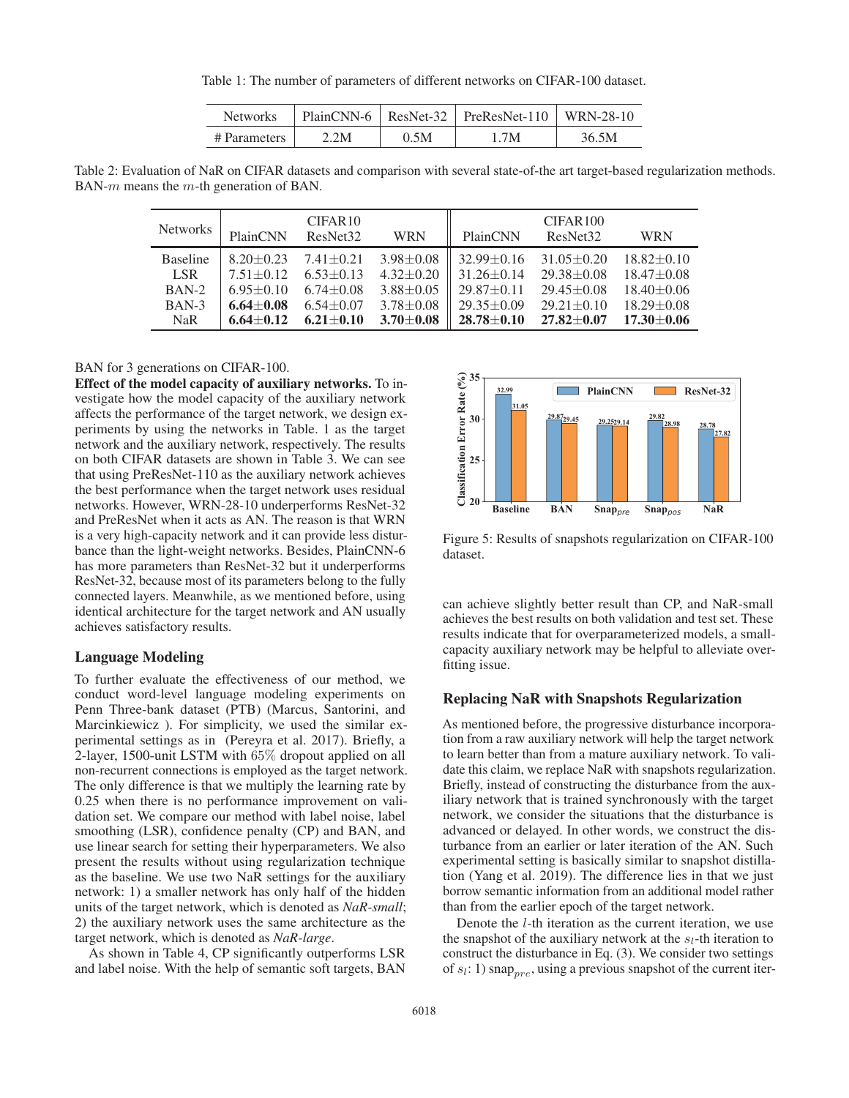Table 1: The number of parameters of different networks on CIFAR-100 dataset.

| Networks     |      |      | $PlainCNN-6$   ResNet-32   PreResNet-110 | WRN-28-10 |
|--------------|------|------|------------------------------------------|-----------|
| # Parameters | 2.2M | 0.5M | 1.7M                                     | 36.5M     |

Table 2: Evaluation of NaR on CIFAR datasets and comparison with several state-of-the art target-based regularization methods. BAN- $m$  means the  $m$ -th generation of BAN.

| <b>Networks</b> | PlainCNN        | CIFAR <sub>10</sub><br>ResNet <sub>32</sub> | <b>WRN</b>      | PlainCNN         | CIFAR100<br>ResNet <sub>32</sub> | <b>WRN</b>       |
|-----------------|-----------------|---------------------------------------------|-----------------|------------------|----------------------------------|------------------|
| <b>Baseline</b> | $8.20 + 0.23$   | $7.41 + 0.21$                               | $3.98 \pm 0.08$ | $32.99 + 0.16$   | $31.05 \pm 0.20$                 | $18.82 \pm 0.10$ |
| LSR.            | $7.51 + 0.12$   | $6.53 + 0.13$                               | $4.32 + 0.20$   | $31.26 \pm 0.14$ | $29.38 \pm 0.08$                 | $18.47 \pm 0.08$ |
| $BAN-2$         | $6.95 + 0.10$   | $6.74 + 0.08$                               | $3.88 + 0.05$   | $29.87 + 0.11$   | $29.45 \pm 0.08$                 | $18.40 \pm 0.06$ |
| $BAN-3$         | $6.64 \pm 0.08$ | $6.54 \pm 0.07$                             | $3.78 \pm 0.08$ | $29.35 \pm 0.09$ | $29.21 + 0.10$                   | $18.29 \pm 0.08$ |
| <b>NaR</b>      | $6.64 + 0.12$   | $6.21 + 0.10$                               | $3.70 \pm 0.08$ | $28.78 + 0.10$   | $27.82 + 0.07$                   | $17.30 \pm 0.06$ |

#### BAN for 3 generations on CIFAR-100.

Effect of the model capacity of auxiliary networks. To investigate how the model capacity of the auxiliary network affects the performance of the target network, we design experiments by using the networks in Table. 1 as the target network and the auxiliary network, respectively. The results on both CIFAR datasets are shown in Table 3. We can see that using PreResNet-110 as the auxiliary network achieves the best performance when the target network uses residual networks. However, WRN-28-10 underperforms ResNet-32 and PreResNet when it acts as AN. The reason is that WRN is a very high-capacity network and it can provide less disturbance than the light-weight networks. Besides, PlainCNN-6 has more parameters than ResNet-32 but it underperforms ResNet-32, because most of its parameters belong to the fully connected layers. Meanwhile, as we mentioned before, using identical architecture for the target network and AN usually achieves satisfactory results.

#### Language Modeling

To further evaluate the effectiveness of our method, we conduct word-level language modeling experiments on Penn Three-bank dataset (PTB) (Marcus, Santorini, and Marcinkiewicz ). For simplicity, we used the similar experimental settings as in (Pereyra et al. 2017). Briefly, a 2-layer, 1500-unit LSTM with 65% dropout applied on all non-recurrent connections is employed as the target network. The only difference is that we multiply the learning rate by 0.25 when there is no performance improvement on validation set. We compare our method with label noise, label smoothing (LSR), confidence penalty (CP) and BAN, and use linear search for setting their hyperparameters. We also present the results without using regularization technique as the baseline. We use two NaR settings for the auxiliary network: 1) a smaller network has only half of the hidden units of the target network, which is denoted as *NaR-small*; 2) the auxiliary network uses the same architecture as the target network, which is denoted as *NaR-large*.

As shown in Table 4, CP significantly outperforms LSR and label noise. With the help of semantic soft targets, BAN



Figure 5: Results of snapshots regularization on CIFAR-100 dataset.

can achieve slightly better result than CP, and NaR-small achieves the best results on both validation and test set. These results indicate that for overparameterized models, a smallcapacity auxiliary network may be helpful to alleviate overfitting issue.

#### Replacing NaR with Snapshots Regularization

As mentioned before, the progressive disturbance incorporation from a raw auxiliary network will help the target network to learn better than from a mature auxiliary network. To validate this claim, we replace NaR with snapshots regularization. Briefly, instead of constructing the disturbance from the auxiliary network that is trained synchronously with the target network, we consider the situations that the disturbance is advanced or delayed. In other words, we construct the disturbance from an earlier or later iteration of the AN. Such experimental setting is basically similar to snapshot distillation (Yang et al. 2019). The difference lies in that we just borrow semantic information from an additional model rather than from the earlier epoch of the target network.

Denote the l-th iteration as the current iteration, we use the snapshot of the auxiliary network at the  $s_l$ -th iteration to construct the disturbance in Eq. (3). We consider two settings of  $s_l$ : 1) snap<sub>pre</sub>, using a previous snapshot of the current iter-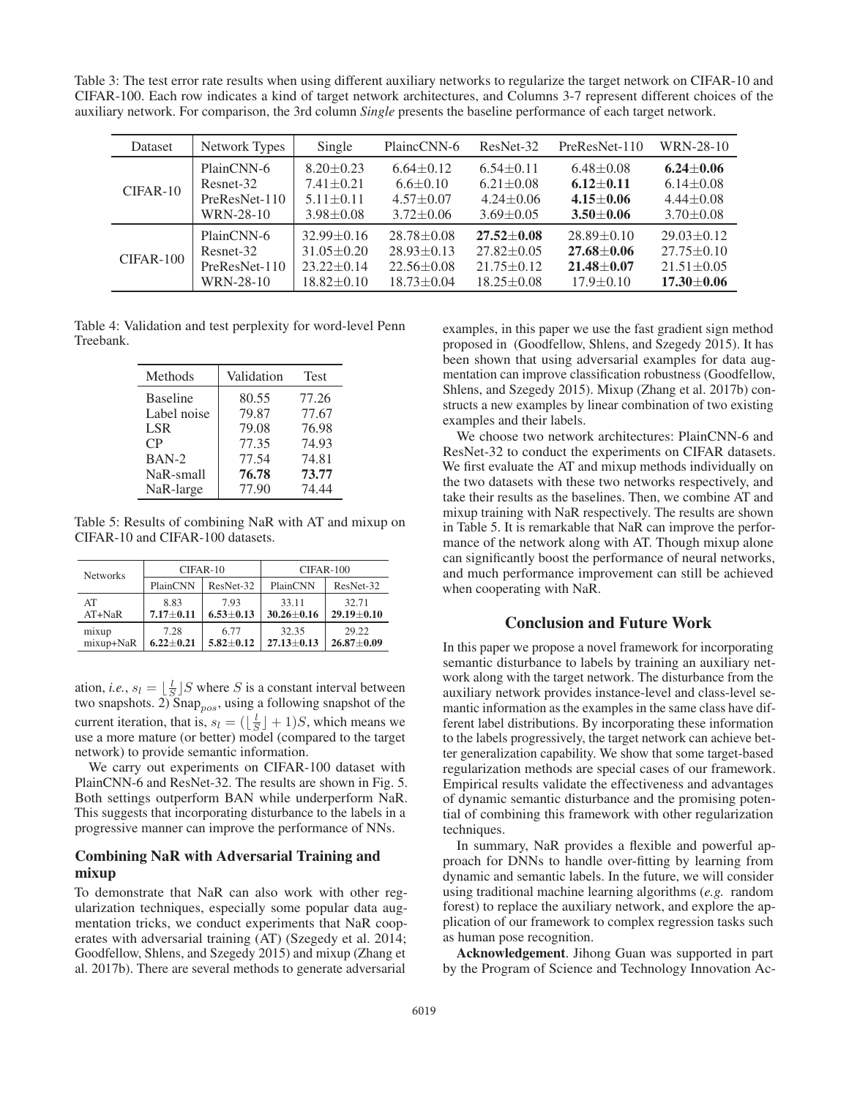Table 3: The test error rate results when using different auxiliary networks to regularize the target network on CIFAR-10 and CIFAR-100. Each row indicates a kind of target network architectures, and Columns 3-7 represent different choices of the auxiliary network. For comparison, the 3rd column *Single* presents the baseline performance of each target network.

| <b>Dataset</b> | Network Types   | Single           | PlaincCNN-6      | ResNet-32        | PreResNet-110    | WRN-28-10        |
|----------------|-----------------|------------------|------------------|------------------|------------------|------------------|
| $CIFAR-10$     | PlainCNN-6      | $8.20 \pm 0.23$  | $6.64 \pm 0.12$  | $6.54 \pm 0.11$  | $6.48 \pm 0.08$  | $6.24 + 0.06$    |
|                | Resnet-32       | $7.41 + 0.21$    | $6.6 \pm 0.10$   | $6.21 \pm 0.08$  | $6.12 + 0.11$    | $6.14 \pm 0.08$  |
|                | $PreResNet-110$ | $5.11 \pm 0.11$  | $4.57 + 0.07$    | $4.24 + 0.06$    | $4.15 + 0.06$    | $4.44 \pm 0.08$  |
|                | WRN-28-10       | $3.98 \pm 0.08$  | $3.72 \pm 0.06$  | $3.69 + 0.05$    | $3.50 + 0.06$    | $3.70 \pm 0.08$  |
| $CIFAR-100$    | PlainCNN-6      | $32.99 + 0.16$   | $28.78 \pm 0.08$ | $27.52 + 0.08$   | $28.89 \pm 0.10$ | $29.03 \pm 0.12$ |
|                | Resnet-32       | $31.05 \pm 0.20$ | $28.93 \pm 0.13$ | $27.82 \pm 0.05$ | $27.68 + 0.06$   | $27.75 + 0.10$   |
|                | PreResNet-110   | $23.22 \pm 0.14$ | $22.56 \pm 0.08$ | $21.75 + 0.12$   | $21.48 + 0.07$   | $21.51 \pm 0.05$ |
|                | WRN-28-10       | $18.82 \pm 0.10$ | $18.73 \pm 0.04$ | $18.25 \pm 0.08$ | $17.9 + 0.10$    | $17.30 \pm 0.06$ |

Table 4: Validation and test perplexity for word-level Penn Treebank.

| Methods         | Validation | <b>Test</b> |
|-----------------|------------|-------------|
| <b>Baseline</b> | 80.55      | 77.26       |
| Label noise     | 79.87      | 77.67       |
| <b>LSR</b>      | 79.08      | 76.98       |
| $\mathsf{CP}$   | 77.35      | 74.93       |
| $BAN-2$         | 77.54      | 74.81       |
| NaR-small       | 76.78      | 73.77       |
| NaR-large       | 77.90      | 74.44       |

Table 5: Results of combining NaR with AT and mixup on CIFAR-10 and CIFAR-100 datasets.

| <b>Networks</b> | CIFAR-10        |                 | CIFAR-100        |                  |  |
|-----------------|-----------------|-----------------|------------------|------------------|--|
|                 | PlainCNN        | ResNet-32       | PlainCNN         | ResNet-32        |  |
| AT              | 8.83            | 793             | 33.11            | 32.71            |  |
| $AT+NaR$        | $7.17 \pm 0.11$ | $6.53 \pm 0.13$ | $30.26 \pm 0.16$ | $29.19 \pm 0.10$ |  |
| mixup           | 7.28            | 6.77            | 32.35            | 29.22            |  |
| mixup+NaR       | $6,22+0.21$     | $5.82 \pm 0.12$ | $27.13 \pm 0.13$ | $26.87 \pm 0.09$ |  |

ation, *i.e.*,  $s_l = \lfloor \frac{l}{S} \rfloor S$  where S is a constant interval between<br>two snapshots 2) Snap using a following snapshot of the two snapshots. 2) Snap<sub>pos</sub>, using a following snapshot of the current iteration, that is,  $s_l = (\lfloor \frac{l}{S} \rfloor + 1)S$ , which means we use a more mature (or better) model (compared to the target use a more mature (or better) model (compared to the target network) to provide semantic information.

We carry out experiments on CIFAR-100 dataset with PlainCNN-6 and ResNet-32. The results are shown in Fig. 5. Both settings outperform BAN while underperform NaR. This suggests that incorporating disturbance to the labels in a progressive manner can improve the performance of NNs.

# Combining NaR with Adversarial Training and mixup

To demonstrate that NaR can also work with other regularization techniques, especially some popular data augmentation tricks, we conduct experiments that NaR cooperates with adversarial training (AT) (Szegedy et al. 2014; Goodfellow, Shlens, and Szegedy 2015) and mixup (Zhang et al. 2017b). There are several methods to generate adversarial

examples, in this paper we use the fast gradient sign method proposed in (Goodfellow, Shlens, and Szegedy 2015). It has been shown that using adversarial examples for data augmentation can improve classification robustness (Goodfellow, Shlens, and Szegedy 2015). Mixup (Zhang et al. 2017b) constructs a new examples by linear combination of two existing examples and their labels.

We choose two network architectures: PlainCNN-6 and ResNet-32 to conduct the experiments on CIFAR datasets. We first evaluate the AT and mixup methods individually on the two datasets with these two networks respectively, and take their results as the baselines. Then, we combine AT and mixup training with NaR respectively. The results are shown in Table 5. It is remarkable that NaR can improve the performance of the network along with AT. Though mixup alone can significantly boost the performance of neural networks, and much performance improvement can still be achieved when cooperating with NaR.

# Conclusion and Future Work

In this paper we propose a novel framework for incorporating semantic disturbance to labels by training an auxiliary network along with the target network. The disturbance from the auxiliary network provides instance-level and class-level semantic information as the examples in the same class have different label distributions. By incorporating these information to the labels progressively, the target network can achieve better generalization capability. We show that some target-based regularization methods are special cases of our framework. Empirical results validate the effectiveness and advantages of dynamic semantic disturbance and the promising potential of combining this framework with other regularization techniques.

In summary, NaR provides a flexible and powerful approach for DNNs to handle over-fitting by learning from dynamic and semantic labels. In the future, we will consider using traditional machine learning algorithms (*e.g.* random forest) to replace the auxiliary network, and explore the application of our framework to complex regression tasks such as human pose recognition.

Acknowledgement. Jihong Guan was supported in part by the Program of Science and Technology Innovation Ac